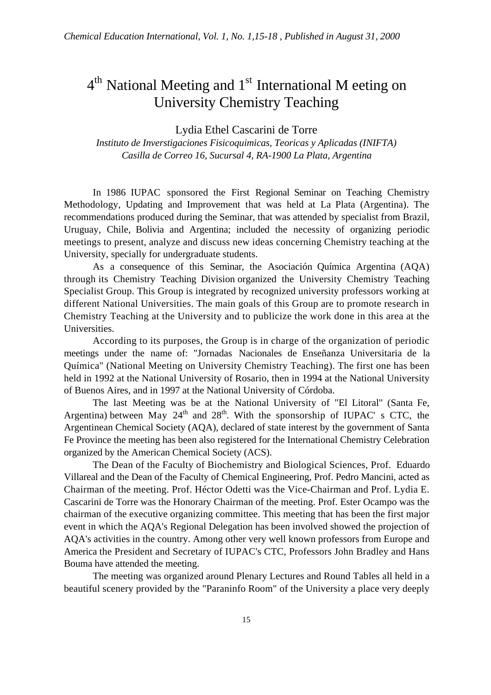## 4<sup>th</sup> National Meeting and 1<sup>st</sup> International M eeting on University Chemistry Teaching

Lydia Ethel Cascarini de Torre

*Instituto de Inverstigaciones Fisicoquimicas, Teoricas y Aplicadas (INIFTA) Casilla de Correo 16, Sucursal 4, RA-1900 La Plata, Argentina*

In 1986 IUPAC sponsored the First Regional Seminar on Teaching Chemistry Methodology, Updating and Improvement that was held at La Plata (Argentina). The recommendations produced during the Seminar, that was attended by specialist from Brazil, Uruguay, Chile, Bolivia and Argentina; included the necessity of organizing periodic meetings to present, analyze and discuss new ideas concerning Chemistry teaching at the University, specially for undergraduate students.

As a consequence of this Seminar, the Asociación Química Argentina (AQA) through its Chemistry Teaching Division organized the University Chemistry Teaching Specialist Group. This Group is integrated by recognized university professors working at different National Universities. The main goals of this Group are to promote research in Chemistry Teaching at the University and to publicize the work done in this area at the Universities.

According to its purposes, the Group is in charge of the organization of periodic meetings under the name of: "Jornadas Nacionales de Enseñanza Universitaria de la Química" (National Meeting on University Chemistry Teaching). The first one has been held in 1992 at the National University of Rosario, then in 1994 at the National University of Buenos Aires, and in 1997 at the National University of Córdoba.

The last Meeting was be at the National University of "El Litoral" (Santa Fe, Argentina) between May  $24<sup>th</sup>$  and  $28<sup>th</sup>$ . With the sponsorship of IUPAC' s CTC, the Argentinean Chemical Society (AQA), declared of state interest by the government of Santa Fe Province the meeting has been also registered for the International Chemistry Celebration organized by the American Chemical Society (ACS).

The Dean of the Faculty of Biochemistry and Biological Sciences, Prof. Eduardo Villareal and the Dean of the Faculty of Chemical Engineering, Prof. Pedro Mancini, acted as Chairman of the meeting. Prof. Héctor Odetti was the Vice-Chairman and Prof. Lydia E. Cascarini de Torre was the Honorary Chairman of the meeting. Prof. Ester Ocampo was the chairman of the executive organizing committee. This meeting that has been the first major event in which the AQA's Regional Delegation has been involved showed the projection of AQA's activities in the country. Among other very well known professors from Europe and America the President and Secretary of IUPAC's CTC, Professors John Bradley and Hans Bouma have attended the meeting.

The meeting was organized around Plenary Lectures and Round Tables all held in a beautiful scenery provided by the "Paraninfo Room" of the University a place very deeply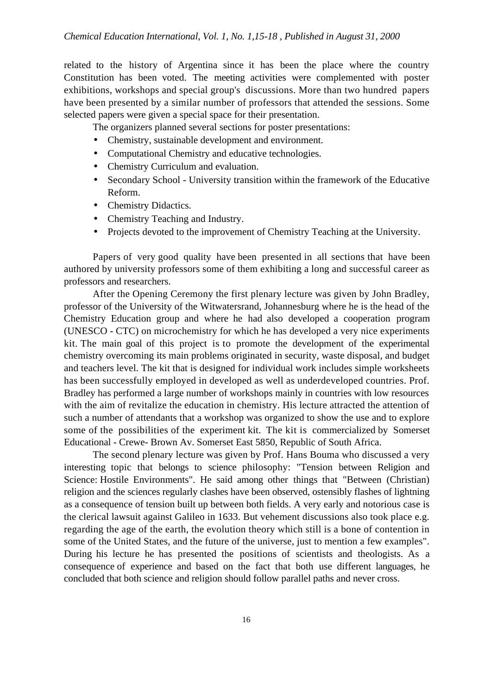related to the history of Argentina since it has been the place where the country Constitution has been voted. The meeting activities were complemented with poster exhibitions, workshops and special group's discussions. More than two hundred papers have been presented by a similar number of professors that attended the sessions. Some selected papers were given a special space for their presentation.

The organizers planned several sections for poster presentations:

- Chemistry, sustainable development and environment.
- Computational Chemistry and educative technologies.
- Chemistry Curriculum and evaluation.
- Secondary School University transition within the framework of the Educative Reform.
- Chemistry Didactics.
- Chemistry Teaching and Industry.
- Projects devoted to the improvement of Chemistry Teaching at the University.

Papers of very good quality have been presented in all sections that have been authored by university professors some of them exhibiting a long and successful career as professors and researchers.

After the Opening Ceremony the first plenary lecture was given by John Bradley, professor of the University of the Witwatersrand, Johannesburg where he is the head of the Chemistry Education group and where he had also developed a cooperation program (UNESCO - CTC) on microchemistry for which he has developed a very nice experiments kit. The main goal of this project is to promote the development of the experimental chemistry overcoming its main problems originated in security, waste disposal, and budget and teachers level. The kit that is designed for individual work includes simple worksheets has been successfully employed in developed as well as underdeveloped countries. Prof. Bradley has performed a large number of workshops mainly in countries with low resources with the aim of revitalize the education in chemistry. His lecture attracted the attention of such a number of attendants that a workshop was organized to show the use and to explore some of the possibilities of the experiment kit. The kit is commercialized by Somerset Educational - Crewe- Brown Av. Somerset East 5850, Republic of South Africa.

The second plenary lecture was given by Prof. Hans Bouma who discussed a very interesting topic that belongs to science philosophy: "Tension between Religion and Science: Hostile Environments". He said among other things that "Between (Christian) religion and the sciences regularly clashes have been observed, ostensibly flashes of lightning as a consequence of tension built up between both fields. A very early and notorious case is the clerical lawsuit against Galileo in 1633. But vehement discussions also took place e.g. regarding the age of the earth, the evolution theory which still is a bone of contention in some of the United States, and the future of the universe, just to mention a few examples". During his lecture he has presented the positions of scientists and theologists. As a consequence of experience and based on the fact that both use different languages, he concluded that both science and religion should follow parallel paths and never cross.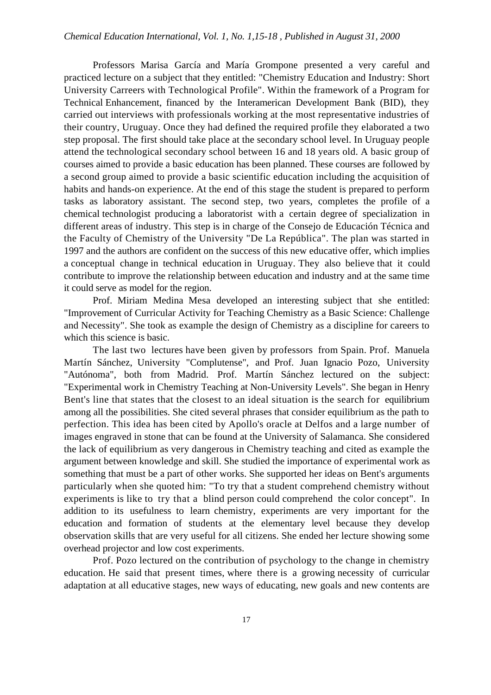Professors Marisa García and María Grompone presented a very careful and practiced lecture on a subject that they entitled: "Chemistry Education and Industry: Short University Carreers with Technological Profile". Within the framework of a Program for Technical Enhancement, financed by the Interamerican Development Bank (BID), they carried out interviews with professionals working at the most representative industries of their country, Uruguay. Once they had defined the required profile they elaborated a two step proposal. The first should take place at the secondary school level. In Uruguay people attend the technological secondary school between 16 and 18 years old. A basic group of courses aimed to provide a basic education has been planned. These courses are followed by a second group aimed to provide a basic scientific education including the acquisition of habits and hands-on experience. At the end of this stage the student is prepared to perform tasks as laboratory assistant. The second step, two years, completes the profile of a chemical technologist producing a laboratorist with a certain degree of specialization in different areas of industry. This step is in charge of the Consejo de Educación Técnica and the Faculty of Chemistry of the University "De La República". The plan was started in 1997 and the authors are confident on the success of this new educative offer, which implies a conceptual change in technical education in Uruguay. They also believe that it could contribute to improve the relationship between education and industry and at the same time it could serve as model for the region.

Prof. Miriam Medina Mesa developed an interesting subject that she entitled: "Improvement of Curricular Activity for Teaching Chemistry as a Basic Science: Challenge and Necessity". She took as example the design of Chemistry as a discipline for careers to which this science is basic.

The last two lectures have been given by professors from Spain. Prof. Manuela Martín Sánchez, University "Complutense", and Prof. Juan Ignacio Pozo, University "Autónoma", both from Madrid. Prof. Martín Sánchez lectured on the subject: "Experimental work in Chemistry Teaching at Non-University Levels". She began in Henry Bent's line that states that the closest to an ideal situation is the search for equilibrium among all the possibilities. She cited several phrases that consider equilibrium as the path to perfection. This idea has been cited by Apollo's oracle at Delfos and a large number of images engraved in stone that can be found at the University of Salamanca. She considered the lack of equilibrium as very dangerous in Chemistry teaching and cited as example the argument between knowledge and skill. She studied the importance of experimental work as something that must be a part of other works. She supported her ideas on Bent's arguments particularly when she quoted him: "To try that a student comprehend chemistry without experiments is like to try that a blind person could comprehend the color concept". In addition to its usefulness to learn chemistry, experiments are very important for the education and formation of students at the elementary level because they develop observation skills that are very useful for all citizens. She ended her lecture showing some overhead projector and low cost experiments.

Prof. Pozo lectured on the contribution of psychology to the change in chemistry education. He said that present times, where there is a growing necessity of curricular adaptation at all educative stages, new ways of educating, new goals and new contents are